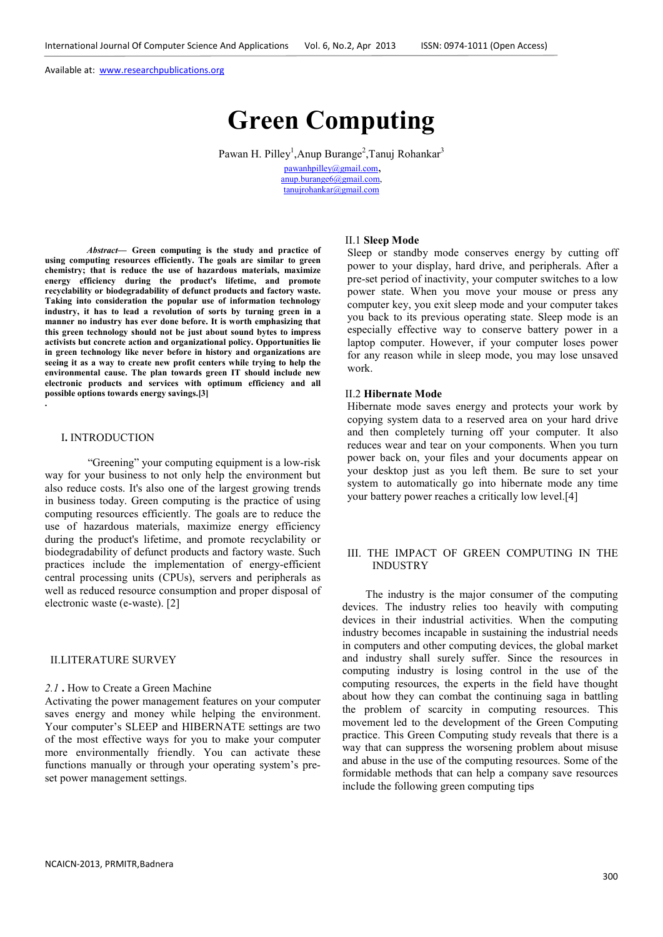# **Green Computing**

Pawan H. Pilley<sup>1</sup>, Anup Burange<sup>2</sup>, Tanuj Rohankar<sup>3</sup> pawanhpilley@gmail.com, anup.burange6@gmail.com, tanujrohankar@gmail.com

*Abstract***— Green computing is the study and practice of using computing resources efficiently. The goals are similar to green chemistry; that is reduce the use of hazardous materials, maximize energy efficiency during the product's lifetime, and promote recyclability or biodegradability of defunct products and factory waste. Taking into consideration the popular use of information technology industry, it has to lead a revolution of sorts by turning green in a manner no industry has ever done before. It is worth emphasizing that this green technology should not be just about sound bytes to impress activists but concrete action and organizational policy. Opportunities lie in green technology like never before in history and organizations are seeing it as a way to create new profit centers while trying to help the environmental cause. The plan towards green IT should include new electronic products and services with optimum efficiency and all possible options towards energy savings.[3]** 

#### I**.** INTRODUCTION

**.**

 "Greening" your computing equipment is a low-risk way for your business to not only help the environment but also reduce costs. It's also one of the largest growing trends in business today. Green computing is the practice of using computing resources efficiently. The goals are to reduce the use of hazardous materials, maximize energy efficiency during the product's lifetime, and promote recyclability or biodegradability of defunct products and factory waste. Such practices include the implementation of energy-efficient central processing units (CPUs), servers and peripherals as well as reduced resource consumption and proper disposal of electronic waste (e-waste). [2]

#### II.LITERATURE SURVEY

## *2.1* **.** How to Create a Green Machine

Activating the power management features on your computer saves energy and money while helping the environment. Your computer's SLEEP and HIBERNATE settings are two of the most effective ways for you to make your computer more environmentally friendly. You can activate these functions manually or through your operating system's preset power management settings.

# II.1 **Sleep Mode**

Sleep or standby mode conserves energy by cutting off power to your display, hard drive, and peripherals. After a pre-set period of inactivity, your computer switches to a low power state. When you move your mouse or press any computer key, you exit sleep mode and your computer takes you back to its previous operating state. Sleep mode is an especially effective way to conserve battery power in a laptop computer. However, if your computer loses power for any reason while in sleep mode, you may lose unsaved work.

#### II.2 **Hibernate Mode**

Hibernate mode saves energy and protects your work by copying system data to a reserved area on your hard drive and then completely turning off your computer. It also reduces wear and tear on your components. When you turn power back on, your files and your documents appear on your desktop just as you left them. Be sure to set your system to automatically go into hibernate mode any time your battery power reaches a critically low level.[4]

## III. THE IMPACT OF GREEN COMPUTING IN THE INDUSTRY

The industry is the major consumer of the computing devices. The industry relies too heavily with computing devices in their industrial activities. When the computing industry becomes incapable in sustaining the industrial needs in computers and other computing devices, the global market and industry shall surely suffer. Since the resources in computing industry is losing control in the use of the computing resources, the experts in the field have thought about how they can combat the continuing saga in battling the problem of scarcity in computing resources. This movement led to the development of the Green Computing practice. This Green Computing study reveals that there is a way that can suppress the worsening problem about misuse and abuse in the use of the computing resources. Some of the formidable methods that can help a company save resources include the following green computing tips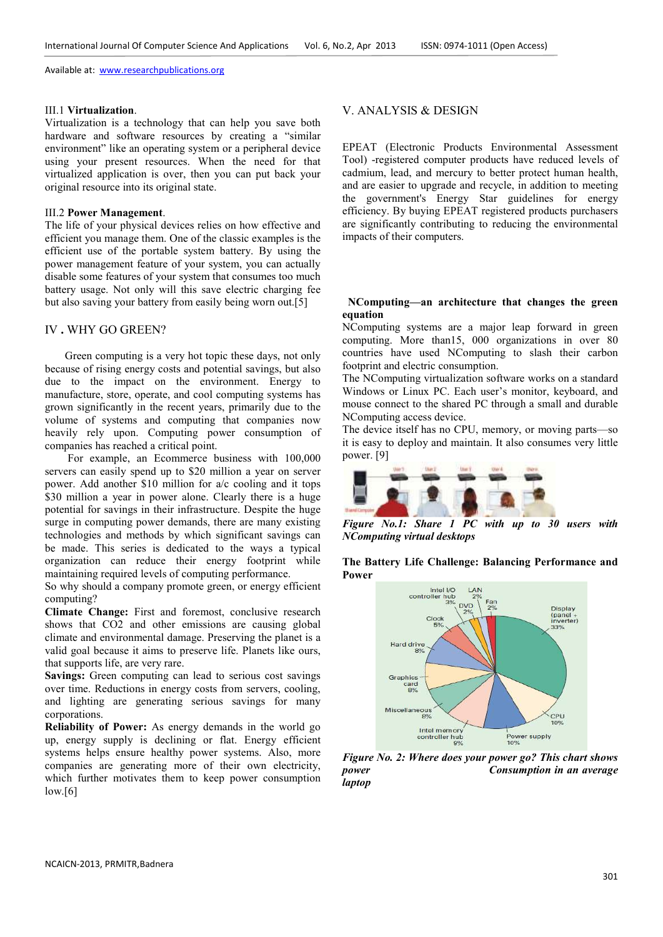#### III.1 **Virtualization**.

Virtualization is a technology that can help you save both hardware and software resources by creating a "similar environment" like an operating system or a peripheral device using your present resources. When the need for that virtualized application is over, then you can put back your original resource into its original state.

## III.2 **Power Management**.

The life of your physical devices relies on how effective and efficient you manage them. One of the classic examples is the efficient use of the portable system battery. By using the power management feature of your system, you can actually disable some features of your system that consumes too much battery usage. Not only will this save electric charging fee but also saving your battery from easily being worn out.[5]

# IV **.** WHY GO GREEN?

Green computing is a very hot topic these days, not only because of rising energy costs and potential savings, but also due to the impact on the environment. Energy to manufacture, store, operate, and cool computing systems has grown significantly in the recent years, primarily due to the volume of systems and computing that companies now heavily rely upon. Computing power consumption of companies has reached a critical point.

 For example, an Ecommerce business with 100,000 servers can easily spend up to \$20 million a year on server power. Add another \$10 million for a/c cooling and it tops \$30 million a year in power alone. Clearly there is a huge potential for savings in their infrastructure. Despite the huge surge in computing power demands, there are many existing technologies and methods by which significant savings can be made. This series is dedicated to the ways a typical organization can reduce their energy footprint while maintaining required levels of computing performance.

So why should a company promote green, or energy efficient computing?

**Climate Change:** First and foremost, conclusive research shows that CO2 and other emissions are causing global climate and environmental damage. Preserving the planet is a valid goal because it aims to preserve life. Planets like ours, that supports life, are very rare.

**Savings:** Green computing can lead to serious cost savings over time. Reductions in energy costs from servers, cooling, and lighting are generating serious savings for many corporations.

**Reliability of Power:** As energy demands in the world go up, energy supply is declining or flat. Energy efficient systems helps ensure healthy power systems. Also, more companies are generating more of their own electricity, which further motivates them to keep power consumption  $low.[6]$ 

## V. ANALYSIS & DESIGN

EPEAT (Electronic Products Environmental Assessment Tool) -registered computer products have reduced levels of cadmium, lead, and mercury to better protect human health, and are easier to upgrade and recycle, in addition to meeting the government's Energy Star guidelines for energy efficiency. By buying EPEAT registered products purchasers are significantly contributing to reducing the environmental impacts of their computers.

### **NComputing—an architecture that changes the green equation**

NComputing systems are a major leap forward in green computing. More than15, 000 organizations in over 80 countries have used NComputing to slash their carbon footprint and electric consumption.

The NComputing virtualization software works on a standard Windows or Linux PC. Each user's monitor, keyboard, and mouse connect to the shared PC through a small and durable NComputing access device.

The device itself has no CPU, memory, or moving parts—so it is easy to deploy and maintain. It also consumes very little power. [9]



*Figure No.1: Share 1 PC with up to 30 users with NComputing virtual desktops* 

**The Battery Life Challenge: Balancing Performance and Power**



*Figure No. 2: Where does your power go? This chart shows power Consumption in an average laptop*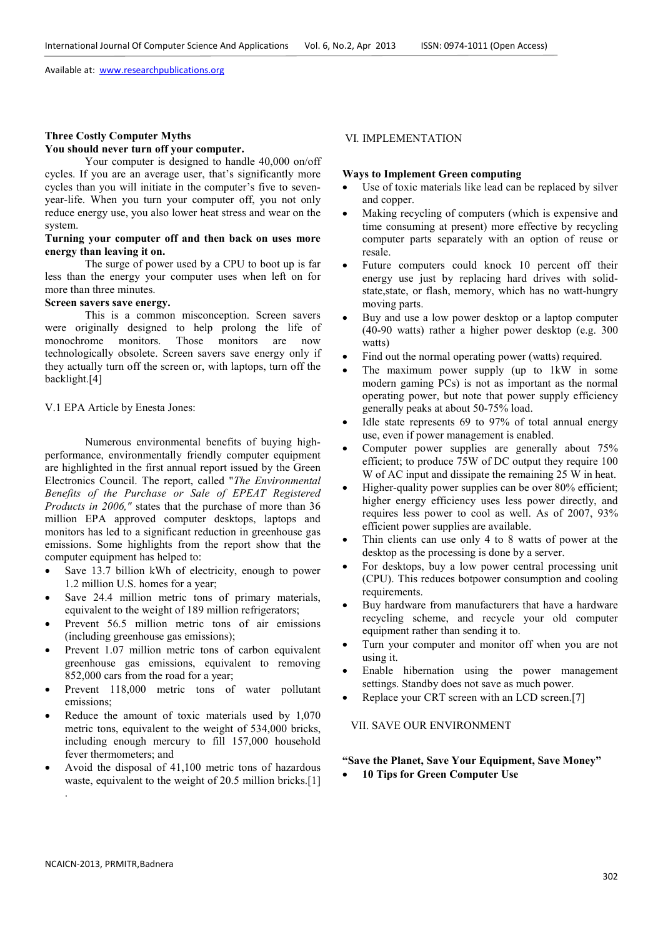#### **Three Costly Computer Myths You should never turn off your computer.**

Your computer is designed to handle 40,000 on/off cycles. If you are an average user, that's significantly more cycles than you will initiate in the computer's five to sevenyear-life. When you turn your computer off, you not only reduce energy use, you also lower heat stress and wear on the system.

## **Turning your computer off and then back on uses more energy than leaving it on.**

The surge of power used by a CPU to boot up is far less than the energy your computer uses when left on for more than three minutes.

# **Screen savers save energy.**

This is a common misconception. Screen savers were originally designed to help prolong the life of monochrome monitors. Those monitors are now technologically obsolete. Screen savers save energy only if they actually turn off the screen or, with laptops, turn off the backlight.[4]

V.1 EPA Article by Enesta Jones:

Numerous environmental benefits of buying highperformance, environmentally friendly computer equipment are highlighted in the first annual report issued by the Green Electronics Council. The report, called "*The Environmental Benefits of the Purchase or Sale of EPEAT Registered Products in 2006,"* states that the purchase of more than 36 million EPA approved computer desktops, laptops and monitors has led to a significant reduction in greenhouse gas emissions. Some highlights from the report show that the computer equipment has helped to:

- Save 13.7 billion kWh of electricity, enough to power 1.2 million U.S. homes for a year;
- Save 24.4 million metric tons of primary materials, equivalent to the weight of 189 million refrigerators;
- Prevent 56.5 million metric tons of air emissions (including greenhouse gas emissions);
- Prevent 1.07 million metric tons of carbon equivalent greenhouse gas emissions, equivalent to removing 852,000 cars from the road for a year;
- Prevent 118,000 metric tons of water pollutant emissions;
- Reduce the amount of toxic materials used by 1,070 metric tons, equivalent to the weight of 534,000 bricks, including enough mercury to fill 157,000 household fever thermometers; and
- Avoid the disposal of 41,100 metric tons of hazardous waste, equivalent to the weight of 20.5 million bricks.<sup>[1]</sup> .

# VI*.* IMPLEMENTATION

#### **Ways to Implement Green computing**

- Use of toxic materials like lead can be replaced by silver and copper.
- Making recycling of computers (which is expensive and time consuming at present) more effective by recycling computer parts separately with an option of reuse or resale.
- Future computers could knock 10 percent off their energy use just by replacing hard drives with solidstate, state, or flash, memory, which has no watt-hungry moving parts.
- Buy and use a low power desktop or a laptop computer (40-90 watts) rather a higher power desktop (e.g. 300 watts)
- Find out the normal operating power (watts) required.
- The maximum power supply (up to 1kW in some modern gaming PCs) is not as important as the normal operating power, but note that power supply efficiency generally peaks at about 50-75% load.
- Idle state represents 69 to 97% of total annual energy use, even if power management is enabled.
- Computer power supplies are generally about 75% efficient; to produce 75W of DC output they require 100 W of AC input and dissipate the remaining 25 W in heat.
- Higher-quality power supplies can be over 80% efficient; higher energy efficiency uses less power directly, and requires less power to cool as well. As of 2007, 93% efficient power supplies are available.
- Thin clients can use only 4 to 8 watts of power at the desktop as the processing is done by a server.
- For desktops, buy a low power central processing unit (CPU). This reduces botpower consumption and cooling requirements.
- Buy hardware from manufacturers that have a hardware recycling scheme, and recycle your old computer equipment rather than sending it to.
- Turn your computer and monitor off when you are not using it.
- Enable hibernation using the power management settings. Standby does not save as much power.
- Replace your CRT screen with an LCD screen.[7]

# VII. SAVE OUR ENVIRONMENT

# **"Save the Planet, Save Your Equipment, Save Money"**

• **10 Tips for Green Computer Use**